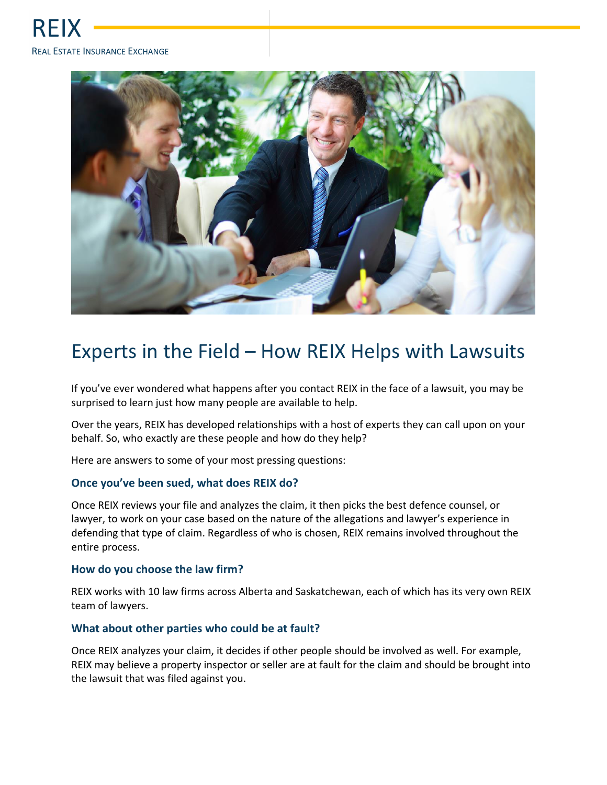

# Experts in the Field – How REIX Helps with Lawsuits

If you've ever wondered what happens after you contact REIX in the face of a lawsuit, you may be surprised to learn just how many people are available to help.

Over the years, REIX has developed relationships with a host of experts they can call upon on your behalf. So, who exactly are these people and how do they help?

Here are answers to some of your most pressing questions:

# **Once you've been sued, what does REIX do?**

Once REIX reviews your file and analyzes the claim, it then picks the best defence counsel, or lawyer, to work on your case based on the nature of the allegations and lawyer's experience in defending that type of claim. Regardless of who is chosen, REIX remains involved throughout the entire process.

#### **How do you choose the law firm?**

REIX works with 10 law firms across Alberta and Saskatchewan, each of which has its very own REIX team of lawyers.

#### **What about other parties who could be at fault?**

Once REIX analyzes your claim, it decides if other people should be involved as well. For example, REIX may believe a property inspector or seller are at fault for the claim and should be brought into the lawsuit that was filed against you.